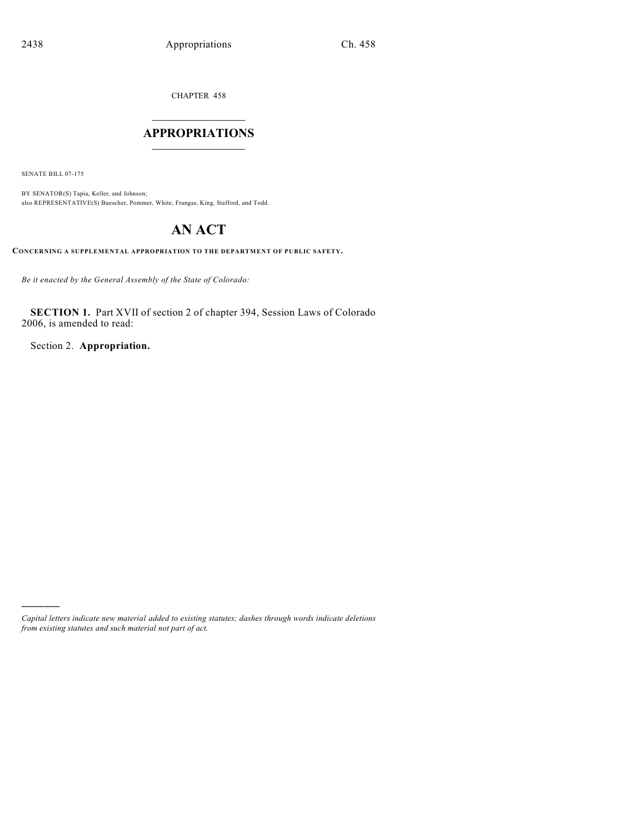CHAPTER 458

## $\overline{\phantom{a}}$  . The set of the set of the set of the set of the set of the set of the set of the set of the set of the set of the set of the set of the set of the set of the set of the set of the set of the set of the set o **APPROPRIATIONS**  $\_$   $\_$   $\_$   $\_$   $\_$   $\_$   $\_$   $\_$

SENATE BILL 07-175

)))))

BY SENATOR(S) Tapia, Keller, and Johnson; also REPRESENTATIVE(S) Buescher, Pommer, White, Frangas, King, Stafford, and Todd.

# **AN ACT**

**CONCERNING A SUPPLEMENTAL APPROPRIATION TO THE DEPARTMENT OF PUBLIC SAFETY.**

*Be it enacted by the General Assembly of the State of Colorado:*

**SECTION 1.** Part XVII of section 2 of chapter 394, Session Laws of Colorado 2006, is amended to read:

Section 2. **Appropriation.**

*Capital letters indicate new material added to existing statutes; dashes through words indicate deletions from existing statutes and such material not part of act.*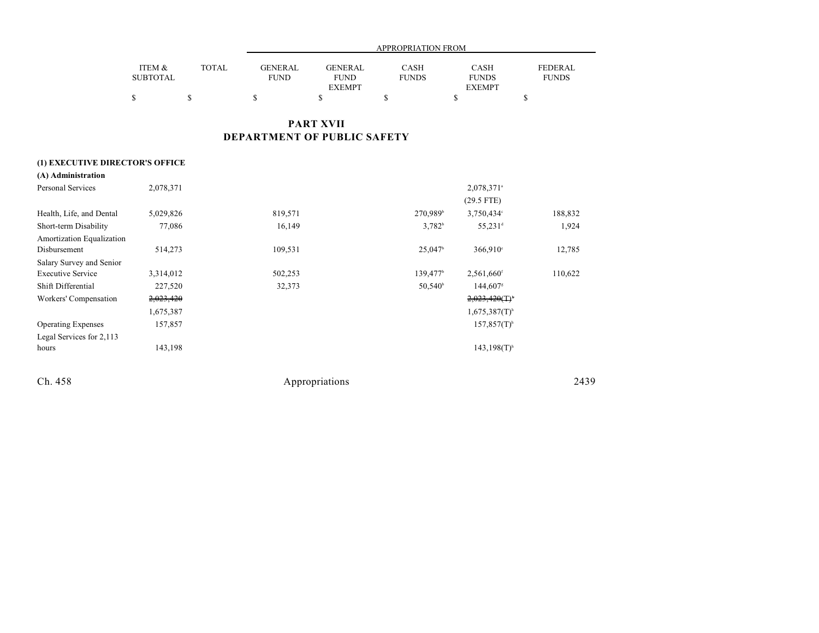|                 |              |                |                | APPROPRIATION FROM |               |              |
|-----------------|--------------|----------------|----------------|--------------------|---------------|--------------|
| ITEM &          | <b>TOTAL</b> | <b>GENERAL</b> | <b>GENERAL</b> | CASH               | <b>CASH</b>   | FEDERAL      |
| <b>SUBTOTAL</b> |              | <b>FUND</b>    | <b>FUND</b>    | <b>FUNDS</b>       | <b>FUNDS</b>  | <b>FUNDS</b> |
|                 |              |                | <b>EXEMPT</b>  |                    | <b>EXEMPT</b> |              |
|                 |              |                |                |                    |               |              |

## **PART XVII DEPARTMENT OF PUBLIC SAFETY**

### **(1) EXECUTIVE DIRECTOR'S OFFICE**

| (A) Administration        |           |         |                      |                             |         |
|---------------------------|-----------|---------|----------------------|-----------------------------|---------|
| Personal Services         | 2,078,371 |         |                      | 2,078,371 <sup>a</sup>      |         |
|                           |           |         |                      | $(29.5$ FTE)                |         |
| Health, Life, and Dental  | 5,029,826 | 819,571 | 270,989 <sup>b</sup> | 3,750,434°                  | 188,832 |
| Short-term Disability     | 77,086    | 16,149  | $3,782^b$            | $55,231$ <sup>d</sup>       | 1,924   |
| Amortization Equalization |           |         |                      |                             |         |
| Disbursement              | 514,273   | 109,531 | 25,047               | $366,910^{\circ}$           | 12,785  |
| Salary Survey and Senior  |           |         |                      |                             |         |
| <b>Executive Service</b>  | 3,314,012 | 502,253 | 139,477 <sup>b</sup> | $2,561,660$ <sup>f</sup>    | 110,622 |
| Shift Differential        | 227,520   | 32,373  | $50,540^{\circ}$     | 144,607                     |         |
| Workers' Compensation     | 2,023,420 |         |                      | 2,023,420(T)                |         |
|                           | 1,675,387 |         |                      | $1,675,387(T)$ <sup>h</sup> |         |
| <b>Operating Expenses</b> | 157,857   |         |                      | $157,857(T)$ <sup>h</sup>   |         |
| Legal Services for 2,113  |           |         |                      |                             |         |
| hours                     | 143,198   |         |                      | $143,198(T)$ <sup>h</sup>   |         |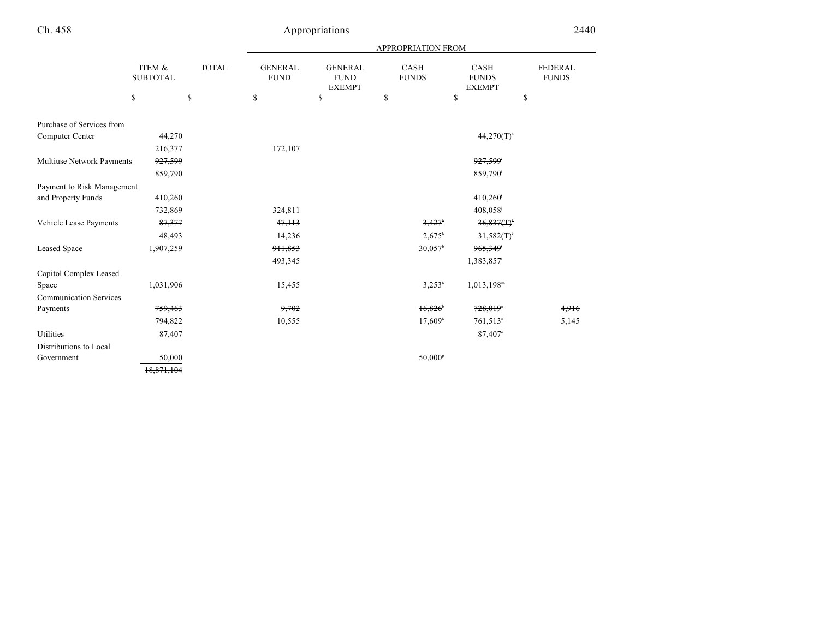|                               |                           |              | APPROPRIATION FROM            |                                                |                             |                                       |                         |  |
|-------------------------------|---------------------------|--------------|-------------------------------|------------------------------------------------|-----------------------------|---------------------------------------|-------------------------|--|
|                               | ITEM &<br><b>SUBTOTAL</b> | <b>TOTAL</b> | <b>GENERAL</b><br><b>FUND</b> | <b>GENERAL</b><br><b>FUND</b><br><b>EXEMPT</b> | <b>CASH</b><br><b>FUNDS</b> | CASH<br><b>FUNDS</b><br><b>EXEMPT</b> | FEDERAL<br><b>FUNDS</b> |  |
|                               | \$<br>\$                  |              | \$                            | \$                                             | \$                          | \$                                    | \$                      |  |
| Purchase of Services from     |                           |              |                               |                                                |                             |                                       |                         |  |
| Computer Center               | 44,270                    |              |                               |                                                |                             | $44,270(T)$ <sup>h</sup>              |                         |  |
|                               | 216,377                   |              | 172,107                       |                                                |                             |                                       |                         |  |
| Multiuse Network Payments     | <del>927,599</del>        |              |                               |                                                |                             | 927,599                               |                         |  |
|                               | 859,790                   |              |                               |                                                |                             | 859,790 <sup>i</sup>                  |                         |  |
| Payment to Risk Management    |                           |              |                               |                                                |                             |                                       |                         |  |
| and Property Funds            | 410,260                   |              |                               |                                                |                             | 410,260                               |                         |  |
|                               | 732,869                   |              | 324,811                       |                                                |                             | 408,058                               |                         |  |
| Vehicle Lease Payments        | 87,377                    |              | 47,113                        |                                                | 3,427                       | 36,837(T)                             |                         |  |
|                               | 48,493                    |              | 14,236                        |                                                | $2,675^{\rm b}$             | $31,582(T)^k$                         |                         |  |
| Leased Space                  | 1,907,259                 |              | 911,853                       |                                                | 30,057 <sup>b</sup>         | 965,349                               |                         |  |
|                               |                           |              | 493,345                       |                                                |                             | 1,383,857                             |                         |  |
| Capitol Complex Leased        |                           |              |                               |                                                |                             |                                       |                         |  |
| Space                         | 1,031,906                 |              | 15,455                        |                                                | $3,253^b$                   | $1,013,198$ <sup>m</sup>              |                         |  |
| <b>Communication Services</b> |                           |              |                               |                                                |                             |                                       |                         |  |
| Payments                      | 759,463                   |              | 9,702                         |                                                | $16,826$ <sup>*</sup>       | 728,019*                              | 4,916                   |  |
|                               | 794,822                   |              | 10,555                        |                                                | 17,609 <sup>b</sup>         | $761,513^n$                           | 5,145                   |  |
| Utilities                     | 87,407                    |              |                               |                                                |                             | 87,407°                               |                         |  |
| Distributions to Local        |                           |              |                               |                                                |                             |                                       |                         |  |
| Government                    | 50,000                    |              |                               |                                                | 50,000 <sup>p</sup>         |                                       |                         |  |
|                               | 18,871,104                |              |                               |                                                |                             |                                       |                         |  |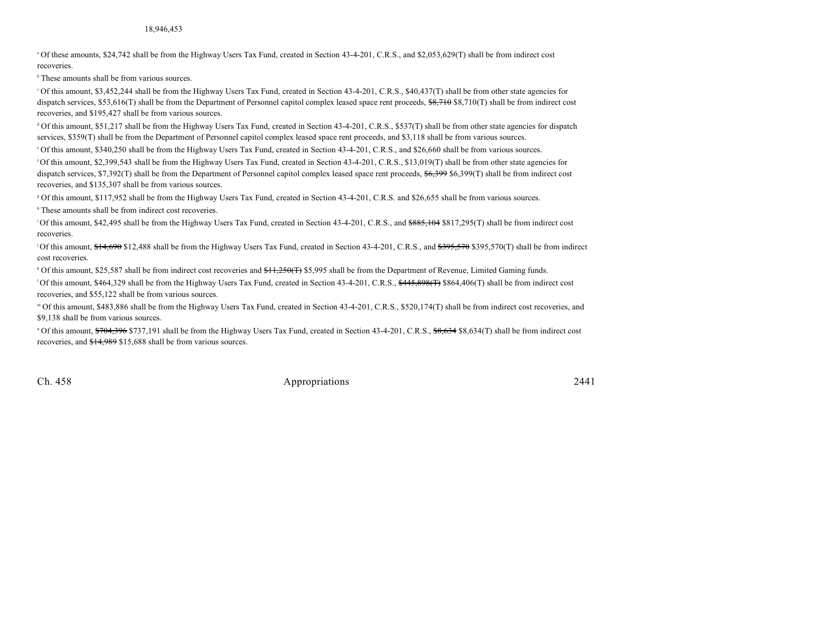<sup>a</sup> Of these amounts, \$24,742 shall be from the Highway Users Tax Fund, created in Section 43-4-201, C.R.S., and \$2,053,629(T) shall be from indirect cost recoveries.

 $<sup>b</sup>$  These amounts shall be from various sources.</sup>

Of this amount, \$3,452,244 shall be from the Highway Users Tax Fund, created in Section 43-4-201, C.R.S., \$40,437(T) shall be from other state agencies for dispatch services, \$53,616(T) shall be from the Department of Personnel capitol complex leased space rent proceeds, \$8,710 \$8,710(T) shall be from indirect cost recoveries, and \$195,427 shall be from various sources.

<sup>d</sup> Of this amount, \$51,217 shall be from the Highway Users Tax Fund, created in Section 43-4-201, C.R.S., \$537(T) shall be from other state agencies for dispatch services, \$359(T) shall be from the Department of Personnel capitol complex leased space rent proceeds, and \$3,118 shall be from various sources.

Of this amount, \$340,250 shall be from the Highway Users Tax Fund, created in Section 43-4-201, C.R.S., and \$26,660 shall be from various sources. <sup>e</sup>

Of this amount, \$2,399,543 shall be from the Highway Users Tax Fund, created in Section 43-4-201, C.R.S., \$13,019(T) shall be from other state agencies for dispatch services, \$7,392(T) shall be from the Department of Personnel capitol complex leased space rent proceeds, \$6,399 \$6,399(T) shall be from indirect cost recoveries, and \$135,307 shall be from various sources.

Of this amount, \$117,952 shall be from the Highway Users Tax Fund, created in Section 43-4-201, C.R.S. and \$26,655 shall be from various sources. <sup>g</sup>

<sup>h</sup> These amounts shall be from indirect cost recoveries.

<sup>1</sup>Of this amount, \$42,495 shall be from the Highway Users Tax Fund, created in Section 43-4-201, C.R.S., and \$885,104 \$817,295(T) shall be from indirect cost recoveries.

<sup>1</sup> Of this amount,  $$14,690$  \$12,488 shall be from the Highway Users Tax Fund, created in Section 43-4-201, C.R.S., and  $$395,570$  \$395,570(T) shall be from indirect cost recoveries.

<sup>k</sup> Of this amount, \$25,587 shall be from indirect cost recoveries and  $#1,250(f)$  \$5,995 shall be from the Department of Revenue, Limited Gaming funds.

<sup>1</sup>Of this amount, \$464,329 shall be from the Highway Users Tax Fund, created in Section 43-4-201, C.R.S.,  $\frac{445,898(f7)}{864,406(f)}$  shall be from indirect cost recoveries, and \$55,122 shall be from various sources.

Of this amount, \$483,886 shall be from the Highway Users Tax Fund, created in Section 43-4-201, C.R.S., \$520,174(T) shall be from indirect cost recoveries, and <sup>m</sup> \$9,138 shall be from various sources.

<sup>n</sup> Of this amount, \$704,396 \$737,191 shall be from the Highway Users Tax Fund, created in Section 43-4-201, C.R.S., \$8,634 \$8,634(T) shall be from indirect cost recoveries, and \$14,989 \$15,688 shall be from various sources.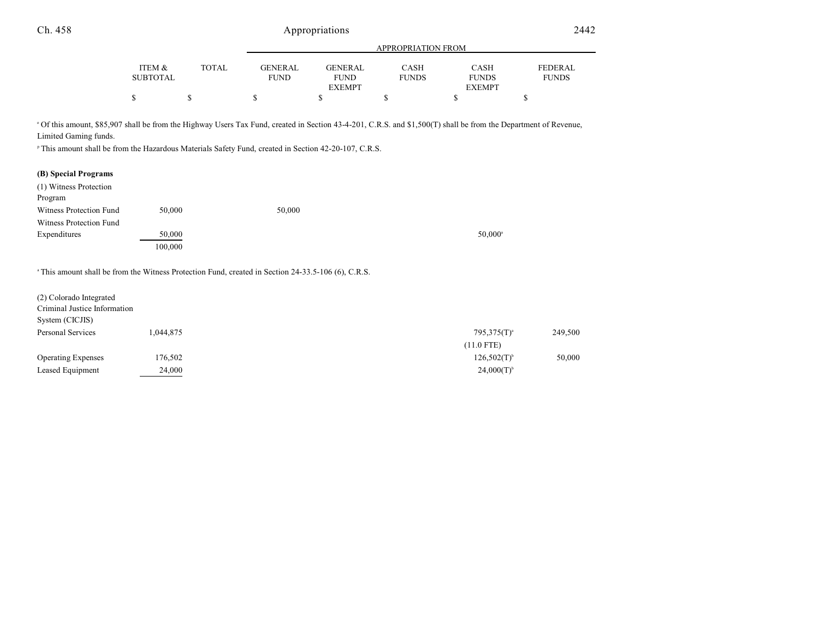|                 |       | <b>APPROPRIATION FROM</b> |               |              |               |              |  |  |
|-----------------|-------|---------------------------|---------------|--------------|---------------|--------------|--|--|
| ITEM &          | TOTAL | <b>GENERAL</b>            | GENERAL       | <b>CASH</b>  | <b>CASH</b>   | FEDERAL      |  |  |
| <b>SUBTOTAL</b> |       | <b>FUND</b>               | <b>FUND</b>   | <b>FUNDS</b> | <b>FUNDS</b>  | <b>FUNDS</b> |  |  |
|                 |       |                           | <b>EXEMPT</b> |              | <b>EXEMPT</b> |              |  |  |
| \$              |       |                           |               |              |               |              |  |  |

Of this amount, \$85,907 shall be from the Highway Users Tax Fund, created in Section 43-4-201, C.R.S. and \$1,500(T) shall be from the Department of Revenue, <sup>o</sup> Limited Gaming funds.

<sup>P</sup> This amount shall be from the Hazardous Materials Safety Fund, created in Section 42-20-107, C.R.S.

### **(B) Special Programs**

| (1) Witness Protection  |         |        |                  |
|-------------------------|---------|--------|------------------|
| Program                 |         |        |                  |
| Witness Protection Fund | 50,000  | 50,000 |                  |
| Witness Protection Fund |         |        |                  |
| Expenditures            | 50,000  |        | $50.000^{\circ}$ |
|                         | 100,000 |        |                  |

<sup>a</sup> This amount shall be from the Witness Protection Fund, created in Section 24-33.5-106 (6), C.R.S.

| (2) Colorado Integrated<br>Criminal Justice Information<br>System (CICJIS) |           |                           |         |
|----------------------------------------------------------------------------|-----------|---------------------------|---------|
| Personal Services                                                          | 1.044.875 | $795,375(T)^{a}$          | 249,500 |
|                                                                            |           | $(11.0$ FTE)              |         |
| <b>Operating Expenses</b>                                                  | 176,502   | $126,502(T)$ <sup>b</sup> | 50,000  |
| Leased Equipment                                                           | 24,000    | $24,000(T)^{6}$           |         |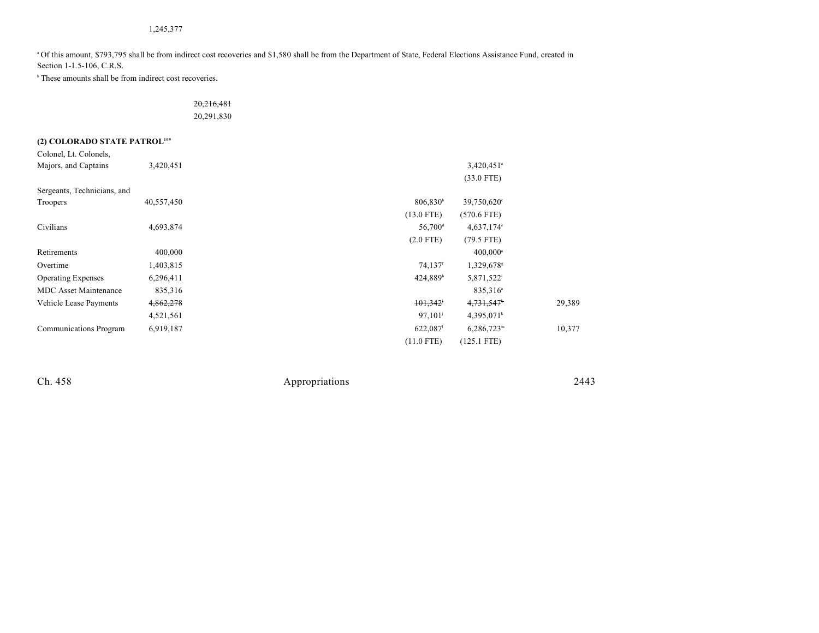### 1,245,377

<sup>a</sup> Of this amount, \$793,795 shall be from indirect cost recoveries and \$1,580 shall be from the Department of State, Federal Elections Assistance Fund, created in Section 1-1.5-106, C.R.S.

 $\,^{\circ}$  These amounts shall be from indirect cost recoveries.

### 20,216,481

20,291,830

## **(2) COLORADO STATE PATROL<sup>109</sup>**

| Colonel, Lt. Colonels,       |            |                       |                          |        |
|------------------------------|------------|-----------------------|--------------------------|--------|
| Majors, and Captains         | 3,420,451  |                       | $3,420,451$ <sup>a</sup> |        |
|                              |            |                       | $(33.0$ FTE)             |        |
| Sergeants, Technicians, and  |            |                       |                          |        |
| Troopers                     | 40,557,450 | 806,830 <sup>b</sup>  | 39,750,620°              |        |
|                              |            | $(13.0$ FTE)          | $(570.6$ FTE)            |        |
| Civilians                    | 4,693,874  | $56,700$ <sup>d</sup> | 4,637,174°               |        |
|                              |            | $(2.0$ FTE)           | $(79.5$ FTE)             |        |
| Retirements                  | 400,000    |                       | $400,000$ <sup>a</sup>   |        |
| Overtime                     | 1,403,815  | 74,137 <sup>f</sup>   | 1,329,678                |        |
| <b>Operating Expenses</b>    | 6,296,411  | 424,889h              | 5,871,522                |        |
| <b>MDC</b> Asset Maintenance | 835, 316   |                       | 835,316 <sup>a</sup>     |        |
| Vehicle Lease Payments       | 4,862,278  | 101,342               | 4,731,547*               | 29,389 |
|                              | 4,521,561  | 97,101                | 4,395,071                |        |
| Communications Program       | 6,919,187  | 622,087               | $6,286,723^m$            | 10,377 |
|                              |            | $(11.0$ FTE)          | $(125.1$ FTE)            |        |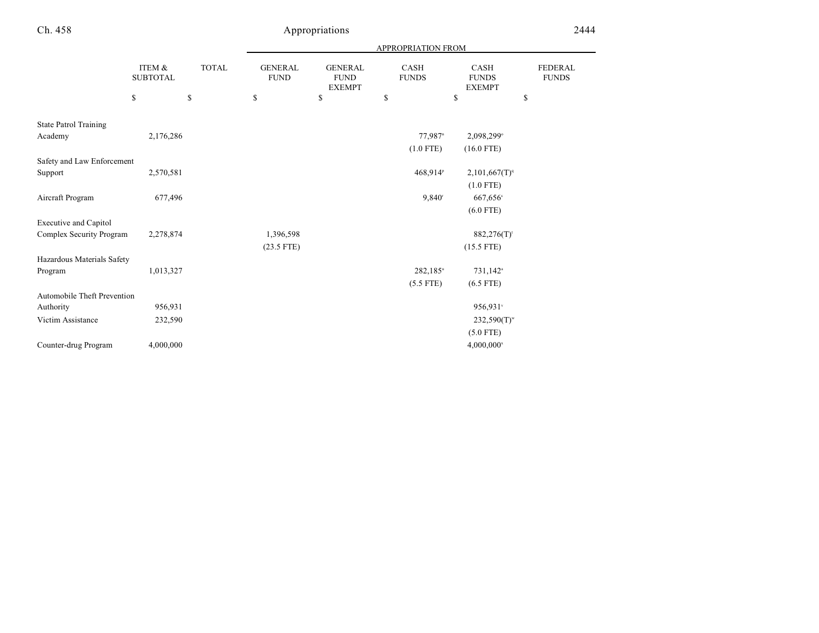|                                    |                           |              |                               |                                                | APPROPRIATION FROM   |                                       |                         |
|------------------------------------|---------------------------|--------------|-------------------------------|------------------------------------------------|----------------------|---------------------------------------|-------------------------|
|                                    | ITEM &<br><b>SUBTOTAL</b> | <b>TOTAL</b> | <b>GENERAL</b><br><b>FUND</b> | <b>GENERAL</b><br><b>FUND</b><br><b>EXEMPT</b> | CASH<br><b>FUNDS</b> | CASH<br><b>FUNDS</b><br><b>EXEMPT</b> | FEDERAL<br><b>FUNDS</b> |
|                                    | \$                        | \$           | \$                            | \$                                             | \$                   | \$                                    | \$                      |
| <b>State Patrol Training</b>       |                           |              |                               |                                                |                      |                                       |                         |
| Academy                            | 2,176,286                 |              |                               |                                                | 77,987 <sup>n</sup>  | 2,098,299°                            |                         |
|                                    |                           |              |                               |                                                | $(1.0$ FTE)          | $(16.0$ FTE)                          |                         |
| Safety and Law Enforcement         |                           |              |                               |                                                |                      |                                       |                         |
| Support                            | 2,570,581                 |              |                               |                                                | 468,914 <sup>P</sup> | 2,101,667(T) <sup>q</sup>             |                         |
|                                    |                           |              |                               |                                                |                      | $(1.0$ FTE)                           |                         |
| Aircraft Program                   | 677,496                   |              |                               |                                                | 9.840 <sup>r</sup>   | 667,656 <sup>s</sup>                  |                         |
|                                    |                           |              |                               |                                                |                      | $(6.0$ FTE)                           |                         |
| <b>Executive and Capitol</b>       |                           |              |                               |                                                |                      |                                       |                         |
| Complex Security Program           | 2,278,874                 |              | 1,396,598                     |                                                |                      | 882,276(T)                            |                         |
|                                    |                           |              | $(23.5$ FTE)                  |                                                |                      | $(15.5$ FTE)                          |                         |
| Hazardous Materials Safety         |                           |              |                               |                                                |                      |                                       |                         |
| Program                            | 1,013,327                 |              |                               |                                                | $282,185$ "          | 731,142 <sup>a</sup>                  |                         |
|                                    |                           |              |                               |                                                | $(5.5$ FTE)          | $(6.5$ FTE)                           |                         |
| <b>Automobile Theft Prevention</b> |                           |              |                               |                                                |                      |                                       |                         |
| Authority                          | 956,931                   |              |                               |                                                |                      | 956,931°                              |                         |
| Victim Assistance                  | 232,590                   |              |                               |                                                |                      | $232,590(T)^{w}$                      |                         |
|                                    |                           |              |                               |                                                |                      | $(5.0$ FTE)                           |                         |
| Counter-drug Program               | 4,000,000                 |              |                               |                                                |                      | $4,000,000^*$                         |                         |
|                                    |                           |              |                               |                                                |                      |                                       |                         |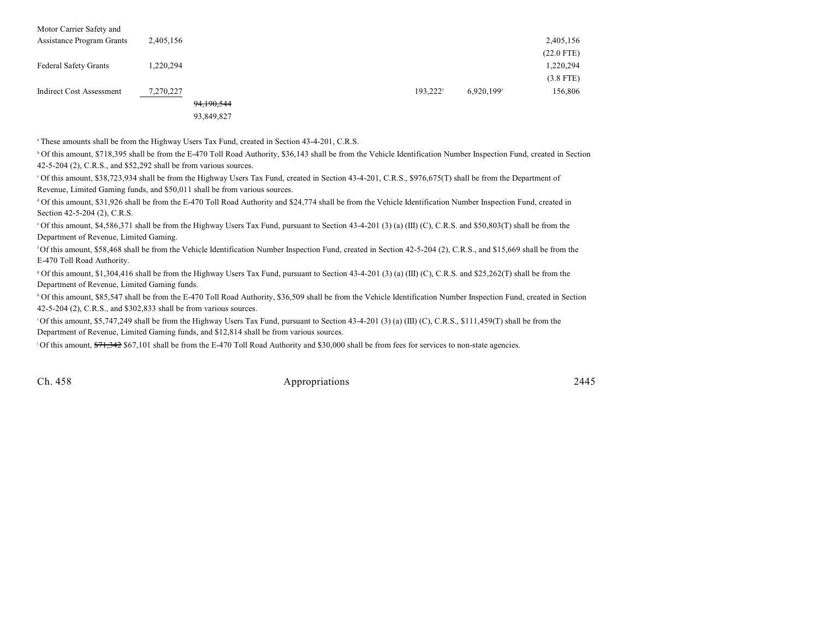| Motor Carrier Safety and     |           |            |                      |            |              |
|------------------------------|-----------|------------|----------------------|------------|--------------|
| Assistance Program Grants    | 2,405,156 |            |                      |            | 2,405,156    |
|                              |           |            |                      |            | $(22.0$ FTE) |
| <b>Federal Safety Grants</b> | 1,220,294 |            |                      |            | 1,220,294    |
|                              |           |            |                      |            | $(3.8$ FTE)  |
| Indirect Cost Assessment     | 7,270,227 |            | 193.222 <sup>y</sup> | 6.920.199z | 156,806      |
|                              |           | 94,190,544 |                      |            |              |

93,849,827

<sup>a</sup> These amounts shall be from the Highway Users Tax Fund, created in Section 43-4-201, C.R.S.

<sup>b</sup> Of this amount, \$718,395 shall be from the E-470 Toll Road Authority, \$36,143 shall be from the Vehicle Identification Number Inspection Fund, created in Section 42-5-204 (2), C.R.S., and \$52,292 shall be from various sources.

Of this amount, \$38,723,934 shall be from the Highway Users Tax Fund, created in Section 43-4-201, C.R.S., \$976,675(T) shall be from the Department of <sup>c</sup> Revenue, Limited Gaming funds, and \$50,011 shall be from various sources.

 $\rm^4$  Of this amount, \$31,926 shall be from the E-470 Toll Road Authority and \$24,774 shall be from the Vehicle Identification Number Inspection Fund, created in Section 42-5-204 (2), C.R.S.

 $^{\circ}$  Of this amount, \$4,586,371 shall be from the Highway Users Tax Fund, pursuant to Section 43-4-201 (3) (a) (III) (C), C.R.S. and \$50,803(T) shall be from the Department of Revenue, Limited Gaming.

<sup>f</sup> Of this amount, \$58,468 shall be from the Vehicle Identification Number Inspection Fund, created in Section 42-5-204 (2), C.R.S., and \$15,669 shall be from the E-470 Toll Road Authority.

 $\degree$  Of this amount, \$1,304,416 shall be from the Highway Users Tax Fund, pursuant to Section 43-4-201 (3) (a) (III) (C), C.R.S. and \$25,262(T) shall be from the Department of Revenue, Limited Gaming funds.

<sup>b</sup> Of this amount, \$85,547 shall be from the E-470 Toll Road Authority, \$36,509 shall be from the Vehicle Identification Number Inspection Fund, created in Section 42-5-204 (2), C.R.S., and \$302,833 shall be from various sources.

<sup>1</sup>Of this amount, \$5,747,249 shall be from the Highway Users Tax Fund, pursuant to Section 43-4-201 (3) (a) (III) (C), C.R.S., \$111,459(T) shall be from the Department of Revenue, Limited Gaming funds, and \$12,814 shall be from various sources.

Of this amount, \$71,342 \$67,101 shall be from the E-470 Toll Road Authority and \$30,000 shall be from fees for services to non-state agencies.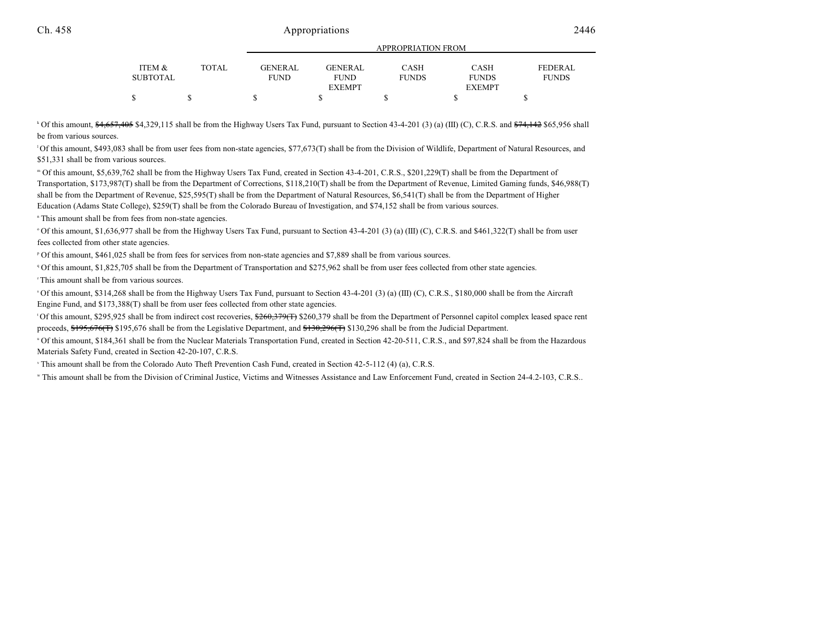|                 |              |                | <u>IN LIWE KEILION LIWEN</u> |              |               |              |  |
|-----------------|--------------|----------------|------------------------------|--------------|---------------|--------------|--|
| ITEM &          | <b>TOTAL</b> | <b>GENERAL</b> | <b>GENERAL</b>               | <b>CASH</b>  | CASH          | FEDERAL      |  |
|                 |              |                |                              |              |               |              |  |
| <b>SUBTOTAL</b> |              | FUND           | <b>FUND</b>                  | <b>FUNDS</b> | <b>FUNDS</b>  | <b>FUNDS</b> |  |
|                 |              |                | <b>EXEMPT</b>                |              | <b>EXEMPT</b> |              |  |
| \$              |              |                |                              |              |               |              |  |

APPROPRIATION FROM

 $^{\circ}$  Of this amount,  $\frac{64,657,405}{4}$  \$4,329,115 shall be from the Highway Users Tax Fund, pursuant to Section 43-4-201 (3) (a) (III) (C), C.R.S. and  $\frac{674,142}{4}$  \$65,956 shall be from various sources.

 $^1$ Of this amount, \$493,083 shall be from user fees from non-state agencies, \$77,673(T) shall be from the Division of Wildlife, Department of Natural Resources, and \$51,331 shall be from various sources.

Of this amount, \$5,639,762 shall be from the Highway Users Tax Fund, created in Section 43-4-201, C.R.S., \$201,229(T) shall be from the Department of <sup>m</sup> Transportation, \$173,987(T) shall be from the Department of Corrections, \$118,210(T) shall be from the Department of Revenue, Limited Gaming funds, \$46,988(T) shall be from the Department of Revenue, \$25,595(T) shall be from the Department of Natural Resources, \$6,541(T) shall be from the Department of Higher Education (Adams State College), \$259(T) shall be from the Colorado Bureau of Investigation, and \$74,152 shall be from various sources.

" This amount shall be from fees from non-state agencies.

 $\degree$  Of this amount, \$1,636,977 shall be from the Highway Users Tax Fund, pursuant to Section 43-4-201 (3) (a) (III) (C), C.R.S. and \$461,322(T) shall be from user fees collected from other state agencies.

Of this amount, \$461,025 shall be from fees for services from non-state agencies and \$7,889 shall be from various sources. <sup>p</sup>

<sup>9</sup> Of this amount, \$1,825,705 shall be from the Department of Transportation and \$275,962 shall be from user fees collected from other state agencies.

<sup>T</sup> This amount shall be from various sources.

<sup>5</sup> Of this amount, \$314,268 shall be from the Highway Users Tax Fund, pursuant to Section 43-4-201 (3) (a) (III) (C), C.R.S., \$180,000 shall be from the Aircraft Engine Fund, and \$173,388(T) shall be from user fees collected from other state agencies.

<sup>1</sup>Of this amount, \$295,925 shall be from indirect cost recoveries, \$260,379(T) \$260,379 shall be from the Department of Personnel capitol complex leased space rent proceeds, \$195,676(T) \$195,676 shall be from the Legislative Department, and \$130,296(T) \$130,296 shall be from the Judicial Department.

" Of this amount, \$184,361 shall be from the Nuclear Materials Transportation Fund, created in Section 42-20-511, C.R.S., and \$97,824 shall be from the Hazardous Materials Safety Fund, created in Section 42-20-107, C.R.S.

<sup>v</sup> This amount shall be from the Colorado Auto Theft Prevention Cash Fund, created in Section 42-5-112 (4) (a), C.R.S.

This amount shall be from the Division of Criminal Justice, Victims and Witnesses Assistance and Law Enforcement Fund, created in Section 24-4.2-103, C.R.S.. <sup>w</sup>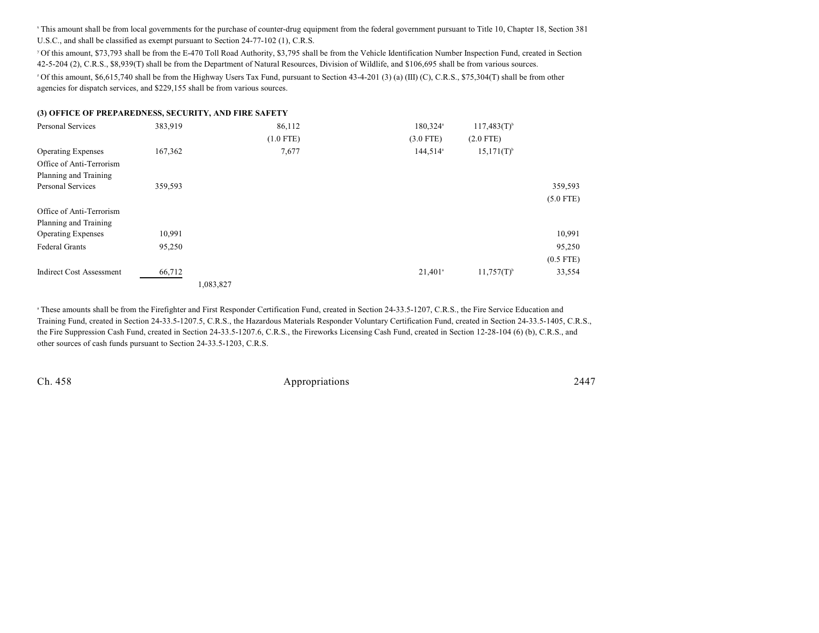This amount shall be from local governments for the purchase of counter-drug equipment from the federal government pursuant to Title 10, Chapter 18, Section 381 U.S.C., and shall be classified as exempt pursuant to Section 24-77-102 (1), C.R.S.

Of this amount, \$73,793 shall be from the E-470 Toll Road Authority, \$3,795 shall be from the Vehicle Identification Number Inspection Fund, created in Section <sup>y</sup> 42-5-204 (2), C.R.S., \$8,939(T) shall be from the Department of Natural Resources, Division of Wildlife, and \$106,695 shall be from various sources.  $^{\circ}$  Of this amount, \$6,615,740 shall be from the Highway Users Tax Fund, pursuant to Section 43-4-201 (3) (a) (III) (C), C.R.S., \$75,304(T) shall be from other agencies for dispatch services, and \$229,155 shall be from various sources.

#### **(3) OFFICE OF PREPAREDNESS, SECURITY, AND FIRE SAFETY**

| Personal Services               | 383,919 | 86,112      | 180,324 <sup>a</sup>  | $117,483(T)^{b}$         |             |
|---------------------------------|---------|-------------|-----------------------|--------------------------|-------------|
|                                 |         | $(1.0$ FTE) | $(3.0$ FTE)           | $(2.0$ FTE)              |             |
| <b>Operating Expenses</b>       | 167,362 | 7,677       | 144,514 <sup>a</sup>  | $15,171(T)$ <sup>b</sup> |             |
| Office of Anti-Terrorism        |         |             |                       |                          |             |
| Planning and Training           |         |             |                       |                          |             |
| Personal Services               | 359,593 |             |                       |                          | 359,593     |
|                                 |         |             |                       |                          | $(5.0$ FTE) |
| Office of Anti-Terrorism        |         |             |                       |                          |             |
| Planning and Training           |         |             |                       |                          |             |
| <b>Operating Expenses</b>       | 10,991  |             |                       |                          | 10,991      |
| <b>Federal Grants</b>           | 95,250  |             |                       |                          | 95,250      |
|                                 |         |             |                       |                          | $(0.5$ FTE) |
| <b>Indirect Cost Assessment</b> | 66,712  |             | $21,401$ <sup>a</sup> | $11,757(T)$ <sup>b</sup> | 33,554      |
|                                 |         | 1,083,827   |                       |                          |             |

<sup>a</sup> These amounts shall be from the Firefighter and First Responder Certification Fund, created in Section 24-33.5-1207, C.R.S., the Fire Service Education and Training Fund, created in Section 24-33.5-1207.5, C.R.S., the Hazardous Materials Responder Voluntary Certification Fund, created in Section 24-33.5-1405, C.R.S., the Fire Suppression Cash Fund, created in Section 24-33.5-1207.6, C.R.S., the Fireworks Licensing Cash Fund, created in Section 12-28-104 (6) (b), C.R.S., and other sources of cash funds pursuant to Section 24-33.5-1203, C.R.S.

Ch. 458 2447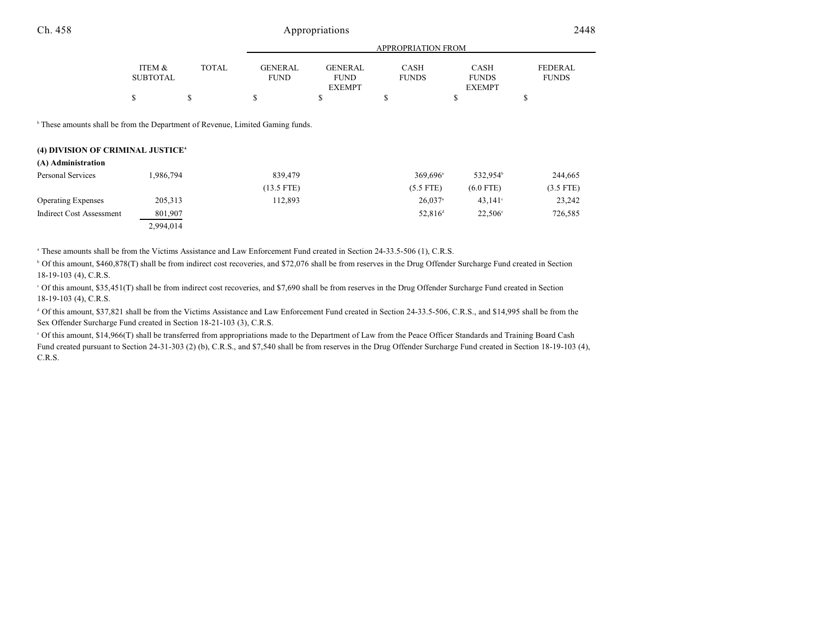|                 | APPROPRIATION FROM |                |                |              |               |              |  |
|-----------------|--------------------|----------------|----------------|--------------|---------------|--------------|--|
| ITEM &          | <b>TOTAL</b>       | <b>GENERAL</b> | <b>GENERAL</b> | <b>CASH</b>  | <b>CASH</b>   | FEDERAL      |  |
| <b>SUBTOTAL</b> |                    | <b>FUND</b>    | <b>FUND</b>    | <b>FUNDS</b> | <b>FUNDS</b>  | <b>FUNDS</b> |  |
|                 |                    |                | <b>EXEMPT</b>  |              | <b>EXEMPT</b> |              |  |
|                 |                    |                |                |              |               |              |  |
|                 |                    |                |                |              |               |              |  |

<sup>b</sup> These amounts shall be from the Department of Revenue, Limited Gaming funds.

#### **(4) DIVISION OF CRIMINAL JUSTICE<sup>4</sup>**

| (A) Administration        |           |              |                        |                      |             |
|---------------------------|-----------|--------------|------------------------|----------------------|-------------|
| Personal Services         | 1,986,794 | 839,479      | $369.696$ <sup>a</sup> | 532.954 <sup>b</sup> | 244,665     |
|                           |           | $(13.5$ FTE) | $(5.5$ FTE)            | $(6.0$ FTE)          | $(3.5$ FTE) |
| <b>Operating Expenses</b> | 205, 313  | 112,893      | $26,037$ <sup>a</sup>  | $43.141^{\circ}$     | 23,242      |
| Indirect Cost Assessment  | 801,907   |              | $52.816^{\rm d}$       | $22.506^{\circ}$     | 726,585     |
|                           | 2,994,014 |              |                        |                      |             |

<sup>a</sup> These amounts shall be from the Victims Assistance and Law Enforcement Fund created in Section 24-33.5-506 (1), C.R.S.

<sup>b</sup> Of this amount, \$460,878(T) shall be from indirect cost recoveries, and \$72,076 shall be from reserves in the Drug Offender Surcharge Fund created in Section 18-19-103 (4), C.R.S.

 Of this amount, \$35,451(T) shall be from indirect cost recoveries, and \$7,690 shall be from reserves in the Drug Offender Surcharge Fund created in Section <sup>c</sup> 18-19-103 (4), C.R.S.

<sup>d</sup> Of this amount, \$37,821 shall be from the Victims Assistance and Law Enforcement Fund created in Section 24-33.5-506, C.R.S., and \$14,995 shall be from the Sex Offender Surcharge Fund created in Section 18-21-103 (3), C.R.S.

 Of this amount, \$14,966(T) shall be transferred from appropriations made to the Department of Law from the Peace Officer Standards and Training Board Cash <sup>e</sup> Fund created pursuant to Section 24-31-303 (2) (b), C.R.S., and \$7,540 shall be from reserves in the Drug Offender Surcharge Fund created in Section 18-19-103 (4), C.R.S.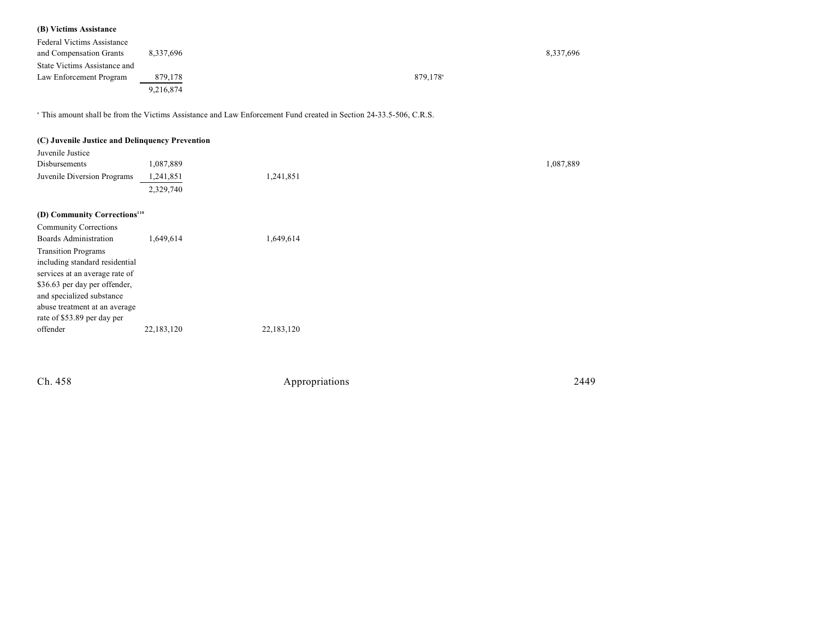## **(B) Victims Assistance**

| <b>Federal Victims Assistance</b> |           |                      |           |
|-----------------------------------|-----------|----------------------|-----------|
| and Compensation Grants           | 8.337.696 |                      | 8,337,696 |
| State Victims Assistance and      |           |                      |           |
| Law Enforcement Program           | 879,178   | 879.178 <sup>a</sup> |           |
|                                   | 9,216,874 |                      |           |

<sup>a</sup> This amount shall be from the Victims Assistance and Law Enforcement Fund created in Section 24-33.5-506, C.R.S.

| (C) Juvenile Justice and Delinquency Prevention            |            |            |           |
|------------------------------------------------------------|------------|------------|-----------|
| Juvenile Justice                                           |            |            |           |
| Disbursements                                              | 1,087,889  |            | 1,087,889 |
| Juvenile Diversion Programs                                | 1,241,851  | 1,241,851  |           |
|                                                            | 2,329,740  |            |           |
| (D) Community Corrections <sup>110</sup>                   |            |            |           |
| <b>Community Corrections</b>                               |            |            |           |
| <b>Boards Administration</b>                               | 1,649,614  | 1,649,614  |           |
| <b>Transition Programs</b>                                 |            |            |           |
| including standard residential                             |            |            |           |
| services at an average rate of                             |            |            |           |
| \$36.63 per day per offender,                              |            |            |           |
| and specialized substance<br>abuse treatment at an average |            |            |           |
| rate of \$53.89 per day per                                |            |            |           |
| offender                                                   | 22,183,120 | 22,183,120 |           |
|                                                            |            |            |           |
|                                                            |            |            |           |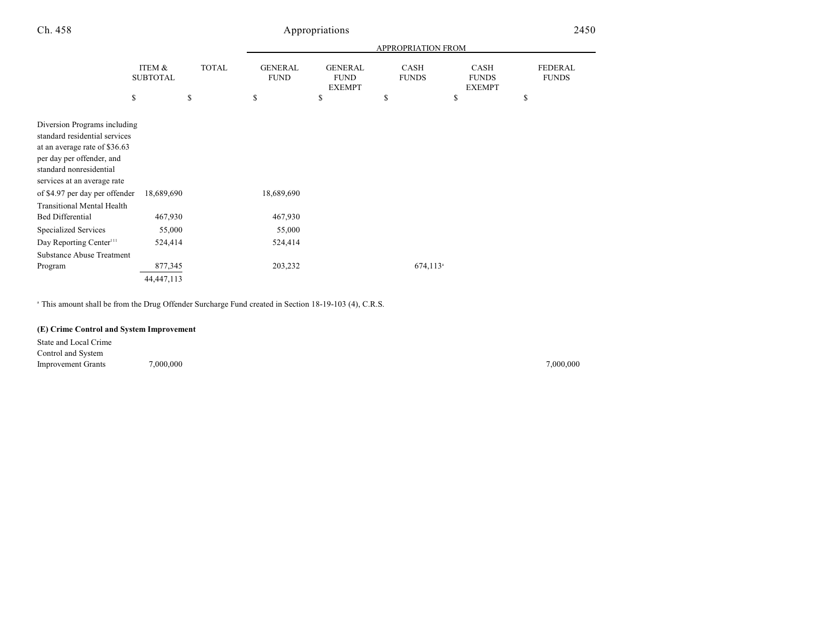|                                                                                                                                                                                       |                           |              |                               |                                                | APPROPRIATION FROM     |                                              |                                |
|---------------------------------------------------------------------------------------------------------------------------------------------------------------------------------------|---------------------------|--------------|-------------------------------|------------------------------------------------|------------------------|----------------------------------------------|--------------------------------|
|                                                                                                                                                                                       | ITEM &<br><b>SUBTOTAL</b> | <b>TOTAL</b> | <b>GENERAL</b><br><b>FUND</b> | <b>GENERAL</b><br><b>FUND</b><br><b>EXEMPT</b> | CASH<br><b>FUNDS</b>   | <b>CASH</b><br><b>FUNDS</b><br><b>EXEMPT</b> | <b>FEDERAL</b><br><b>FUNDS</b> |
| \$                                                                                                                                                                                    |                           | \$           | \$                            | \$                                             | \$                     | \$                                           | \$                             |
| Diversion Programs including<br>standard residential services<br>at an average rate of \$36.63<br>per day per offender, and<br>standard nonresidential<br>services at an average rate |                           |              |                               |                                                |                        |                                              |                                |
| of \$4.97 per day per offender<br><b>Transitional Mental Health</b>                                                                                                                   | 18,689,690                |              | 18,689,690                    |                                                |                        |                                              |                                |
| <b>Bed Differential</b>                                                                                                                                                               | 467,930                   |              | 467,930                       |                                                |                        |                                              |                                |
| <b>Specialized Services</b>                                                                                                                                                           | 55,000                    |              | 55,000                        |                                                |                        |                                              |                                |
| Day Reporting Center <sup>111</sup>                                                                                                                                                   | 524,414                   |              | 524,414                       |                                                |                        |                                              |                                |
| <b>Substance Abuse Treatment</b><br>Program                                                                                                                                           | 877,345<br>44,447,113     |              | 203,232                       |                                                | $674,113$ <sup>a</sup> |                                              |                                |
|                                                                                                                                                                                       |                           |              |                               |                                                |                        |                                              |                                |

<sup>a</sup> This amount shall be from the Drug Offender Surcharge Fund created in Section 18-19-103 (4), C.R.S.

### **(E) Crime Control and System Improvement**

State and Local Crime Control and System Improvement Grants 7,000,000 7,000,000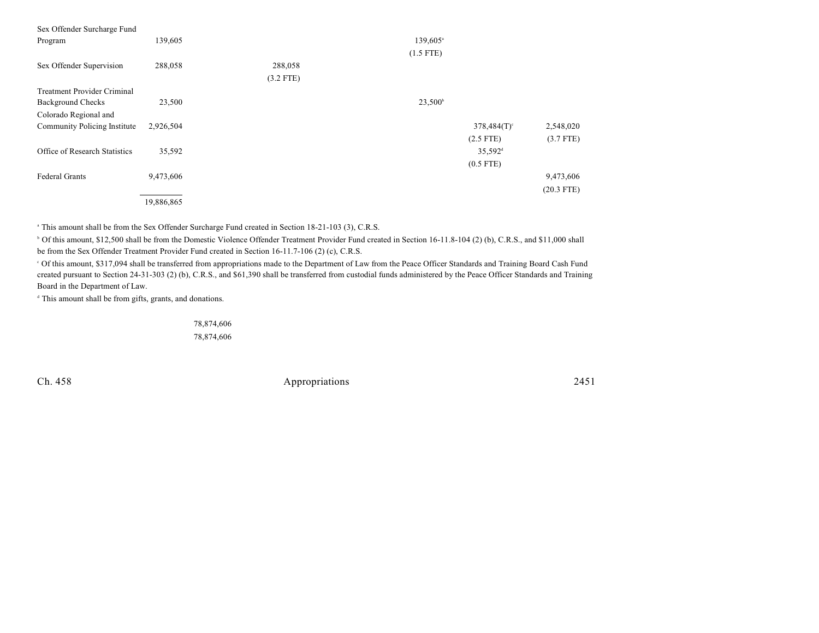| Sex Offender Surcharge Fund        |            |             |                      |                           |              |
|------------------------------------|------------|-------------|----------------------|---------------------------|--------------|
| Program                            | 139,605    |             | 139,605 <sup>a</sup> |                           |              |
|                                    |            |             | $(1.5$ FTE)          |                           |              |
| Sex Offender Supervision           | 288,058    | 288,058     |                      |                           |              |
|                                    |            | $(3.2$ FTE) |                      |                           |              |
| <b>Treatment Provider Criminal</b> |            |             |                      |                           |              |
| <b>Background Checks</b>           | 23,500     |             | $23,500^{\circ}$     |                           |              |
| Colorado Regional and              |            |             |                      |                           |              |
| Community Policing Institute       | 2,926,504  |             |                      | $378,484(T)$ <sup>c</sup> | 2,548,020    |
|                                    |            |             |                      | $(2.5$ FTE)               | $(3.7$ FTE)  |
| Office of Research Statistics      | 35,592     |             |                      | $35,592$ <sup>d</sup>     |              |
|                                    |            |             |                      | $(0.5$ FTE)               |              |
| Federal Grants                     | 9,473,606  |             |                      |                           | 9,473,606    |
|                                    |            |             |                      |                           | $(20.3$ FTE) |
|                                    | 19,886,865 |             |                      |                           |              |

<sup>a</sup> This amount shall be from the Sex Offender Surcharge Fund created in Section 18-21-103 (3), C.R.S.

 Of this amount, \$12,500 shall be from the Domestic Violence Offender Treatment Provider Fund created in Section 16-11.8-104 (2) (b), C.R.S., and \$11,000 shall <sup>b</sup> be from the Sex Offender Treatment Provider Fund created in Section 16-11.7-106 (2) (c), C.R.S.

 Of this amount, \$317,094 shall be transferred from appropriations made to the Department of Law from the Peace Officer Standards and Training Board Cash Fund <sup>c</sup> created pursuant to Section 24-31-303 (2) (b), C.R.S., and \$61,390 shall be transferred from custodial funds administered by the Peace Officer Standards and Training Board in the Department of Law.

<sup>d</sup> This amount shall be from gifts, grants, and donations.

78,874,606 78,874,606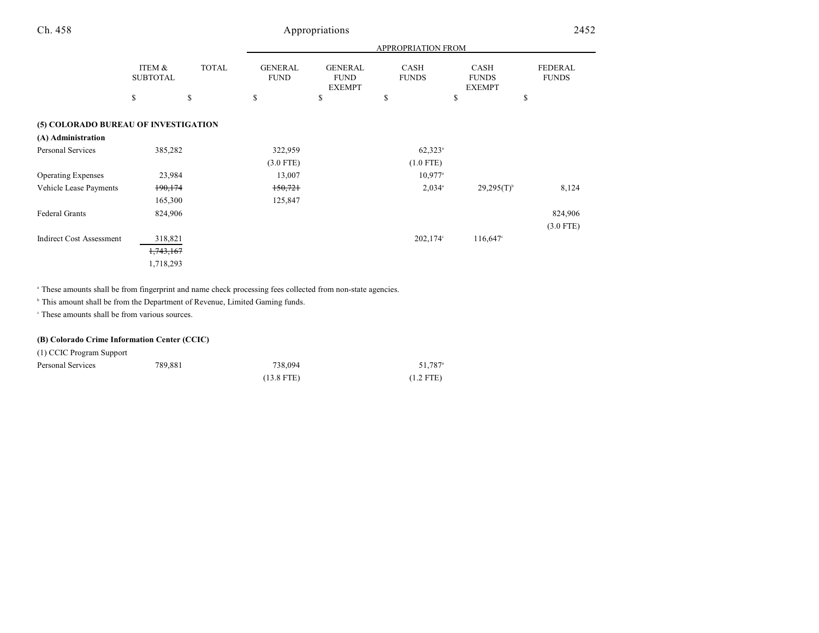|                                      |                           |              | APPROPRIATION FROM            |                                                |                       |                                              |                         |
|--------------------------------------|---------------------------|--------------|-------------------------------|------------------------------------------------|-----------------------|----------------------------------------------|-------------------------|
|                                      | ITEM &<br><b>SUBTOTAL</b> | <b>TOTAL</b> | <b>GENERAL</b><br><b>FUND</b> | <b>GENERAL</b><br><b>FUND</b><br><b>EXEMPT</b> | CASH<br><b>FUNDS</b>  | <b>CASH</b><br><b>FUNDS</b><br><b>EXEMPT</b> | FEDERAL<br><b>FUNDS</b> |
|                                      | \$                        | \$           | \$                            | \$                                             | \$                    | \$                                           | \$                      |
| (5) COLORADO BUREAU OF INVESTIGATION |                           |              |                               |                                                |                       |                                              |                         |
| (A) Administration                   |                           |              |                               |                                                |                       |                                              |                         |
| Personal Services                    | 385,282                   |              | 322,959                       |                                                | $62,323^{\circ}$      |                                              |                         |
|                                      |                           |              | $(3.0$ FTE)                   |                                                | $(1.0$ FTE)           |                                              |                         |
| <b>Operating Expenses</b>            | 23,984                    |              | 13,007                        |                                                | $10.977$ <sup>a</sup> |                                              |                         |
| Vehicle Lease Payments               | 190,174                   |              | 150,721                       |                                                | $2,034$ <sup>a</sup>  | $29,295(T)^{6}$                              | 8,124                   |
|                                      | 165,300                   |              | 125,847                       |                                                |                       |                                              |                         |
| <b>Federal Grants</b>                | 824,906                   |              |                               |                                                |                       |                                              | 824,906                 |
|                                      |                           |              |                               |                                                |                       |                                              | $(3.0$ FTE)             |
| <b>Indirect Cost Assessment</b>      | 318,821                   |              |                               |                                                | $202,174^{\circ}$     | $116,647$ °                                  |                         |
|                                      | 1,743,167                 |              |                               |                                                |                       |                                              |                         |
|                                      | 1,718,293                 |              |                               |                                                |                       |                                              |                         |

<sup>a</sup> These amounts shall be from fingerprint and name check processing fees collected from non-state agencies.

<sup>b</sup> This amount shall be from the Department of Revenue, Limited Gaming funds.

 $\cdot$  These amounts shall be from various sources.

### **(B) Colorado Crime Information Center (CCIC)**

(1) CCIC Program Support

| Personal Services | 789,881 | 738,094      | 51.787 <sup>a</sup> |
|-------------------|---------|--------------|---------------------|
|                   |         | $(13.8$ FTE) | $(1.2$ FTE)         |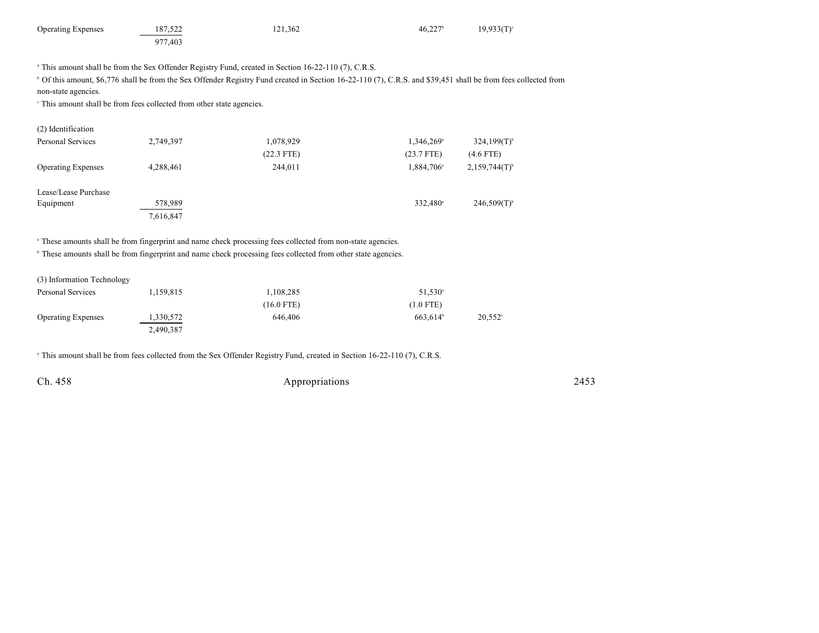| <b>Operating Expenses</b> | 187,522 | 121.362                                                                                                         | $46.227$ <sup>b</sup> | $19,933(T)$ ° |
|---------------------------|---------|-----------------------------------------------------------------------------------------------------------------|-----------------------|---------------|
|                           | 977.403 |                                                                                                                 |                       |               |
|                           |         |                                                                                                                 |                       |               |
|                           |         | <sup>a</sup> This amount shall be from the Sex Offender Registry Fund, created in Section 16-22-110 (7), C.R.S. |                       |               |
| $\cdots$                  |         | المساور والمتحدث والمتحادين والمتحادين والمتحادين والمتحادث والمستحدث                                           |                       |               |

<sup>b</sup> Of this amount, \$6,776 shall be from the Sex Offender Registry Fund created in Section 16-22-110 (7), C.R.S. and \$39,451 shall be from fees collected from non-state agencies.

<sup>c</sup> This amount shall be from fees collected from other state agencies.

| (2) Identification        |           |              |                        |                           |
|---------------------------|-----------|--------------|------------------------|---------------------------|
| Personal Services         | 2,749,397 | 1,078,929    | 1,346,269 <sup>a</sup> | $324,199(T)$ <sup>b</sup> |
|                           |           | $(22.3$ FTE) | $(23.7$ FTE)           | $(4.6$ FTE)               |
| <b>Operating Expenses</b> | 4,288,461 | 244,011      | 1,884,706 <sup>a</sup> | $2,159,744(T)^{6}$        |
| Lease/Lease Purchase      |           |              |                        |                           |
| Equipment                 | 578,989   |              | 332,480 <sup>a</sup>   | $246,509(T)$ <sup>b</sup> |
|                           | 7,616,847 |              |                        |                           |

<sup>a</sup> These amounts shall be from fingerprint and name check processing fees collected from non-state agencies.

<sup>b</sup> These amounts shall be from fingerprint and name check processing fees collected from other state agencies.

(3) Information Technology

| Personal Services         | 1.159.815 | 1,108,285    | $51,530^{\circ}$     |                  |
|---------------------------|-----------|--------------|----------------------|------------------|
|                           |           | $(16.0$ FTE) | $(1.0$ FTE)          |                  |
| <b>Operating Expenses</b> | 1,330,572 | 646,406      | 663.614 <sup>b</sup> | $20,552^{\circ}$ |
|                           | 2,490,387 |              |                      |                  |

<sup>a</sup> This amount shall be from fees collected from the Sex Offender Registry Fund, created in Section 16-22-110 (7), C.R.S.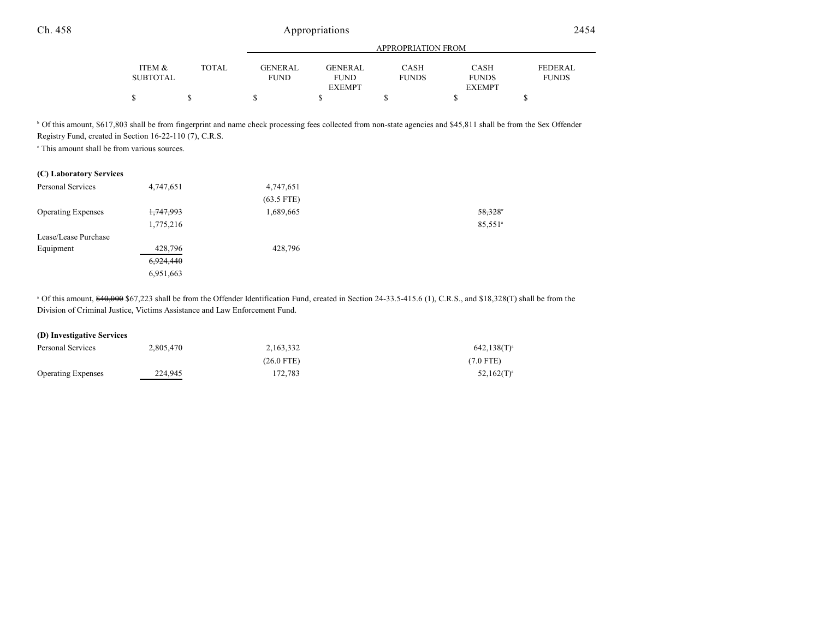|                 |              |                | APPROPRIATION FROM |              |               |                |  |
|-----------------|--------------|----------------|--------------------|--------------|---------------|----------------|--|
|                 |              |                |                    |              |               |                |  |
| ITEM &          | <b>TOTAL</b> | <b>GENERAL</b> | <b>GENERAL</b>     | CASH         | <b>CASH</b>   | <b>FEDERAL</b> |  |
| <b>SUBTOTAL</b> |              | <b>FUND</b>    | <b>FUND</b>        | <b>FUNDS</b> | <b>FUNDS</b>  | <b>FUNDS</b>   |  |
|                 |              |                | <b>EXEMPT</b>      |              | <b>EXEMPT</b> |                |  |
| ¢               |              |                |                    |              |               |                |  |

<sup>b</sup> Of this amount, \$617,803 shall be from fingerprint and name check processing fees collected from non-state agencies and \$45,811 shall be from the Sex Offender Registry Fund, created in Section 16-22-110 (7), C.R.S.

 $\cdot$  This amount shall be from various sources.

### **(C) Laboratory Services**

| Personal Services         | 4,747,651            | 4,747,651    |                       |
|---------------------------|----------------------|--------------|-----------------------|
|                           |                      | $(63.5$ FTE) |                       |
| <b>Operating Expenses</b> | <del>1,747,993</del> | 1,689,665    | $58,328$ <sup>*</sup> |
|                           | 1,775,216            |              | 85,551 <sup>a</sup>   |
| Lease/Lease Purchase      |                      |              |                       |
| Equipment                 | 428,796              | 428,796      |                       |
|                           | 6,924,440            |              |                       |
|                           | 6,951,663            |              |                       |

<sup>a</sup> Of this amount, \$40,000 \$67,223 shall be from the Offender Identification Fund, created in Section 24-33.5-415.6 (1), C.R.S., and \$18,328(T) shall be from the Division of Criminal Justice, Victims Assistance and Law Enforcement Fund.

#### **(D) Investigative Services**

| Personal Services         | 2.805.470 | 2.163.332  | $642,138(T)^{a}$ |  |
|---------------------------|-----------|------------|------------------|--|
|                           |           | (26.0 FTE) | $(7.0$ FTE)      |  |
| <b>Operating Expenses</b> | 224.945   | 172.783    | $52,162(T)^{a}$  |  |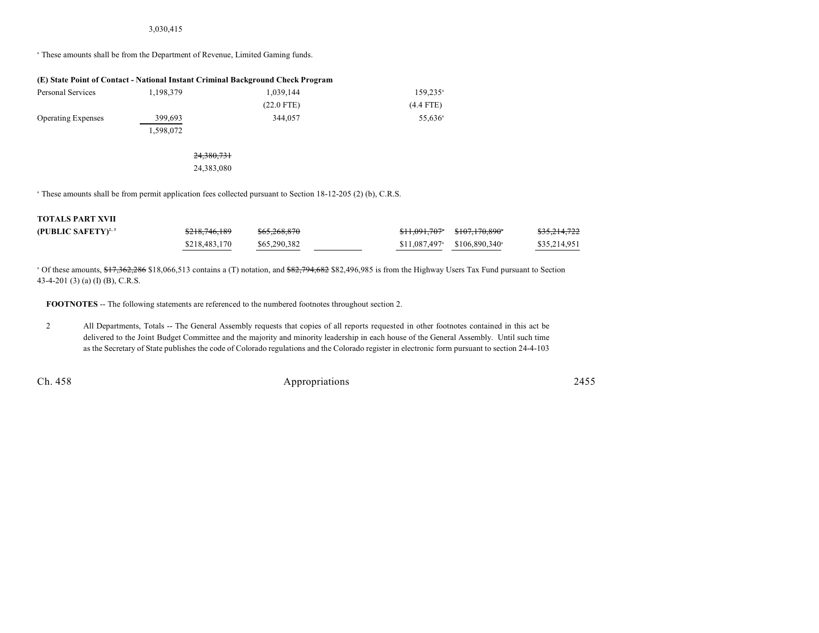#### 3,030,415

<sup>a</sup> These amounts shall be from the Department of Revenue, Limited Gaming funds.

| (E) State Point of Contact - National Instant Criminal Background Check Program |           |              |                     |  |  |  |  |
|---------------------------------------------------------------------------------|-----------|--------------|---------------------|--|--|--|--|
| Personal Services                                                               | 1.198.379 | 1.039.144    | $159.235^{\circ}$   |  |  |  |  |
|                                                                                 |           | $(22.0$ FTE) | $(4.4$ FTE)         |  |  |  |  |
| <b>Operating Expenses</b>                                                       | 399.693   | 344,057      | 55.636 <sup>a</sup> |  |  |  |  |
|                                                                                 | 1,598,072 |              |                     |  |  |  |  |

#### 24,380,731 24,383,080

<sup>a</sup> These amounts shall be from permit application fees collected pursuant to Section 18-12-205 (2) (b), C.R.S.

#### **TOTALS PART XVII**

| (PUBLIC SAFETY) <sup>2, 3</sup> | <del>\$218,746,189</del> | <del>\$65,268,870</del> |                                           | <del>\$11,091,707</del> \$107,170,890 | <del>\$35,214,722</del> |
|---------------------------------|--------------------------|-------------------------|-------------------------------------------|---------------------------------------|-------------------------|
|                                 | \$218,483,170            | \$65,290,382            | $$11,087,497$ $$106,890,340$ <sup>*</sup> |                                       | \$35,214,951            |

<sup>a</sup> Of these amounts, \$17,362,286 \$18,066,513 contains a (T) notation, and \$82,794,682 \$82,496,985 is from the Highway Users Tax Fund pursuant to Section 43-4-201 (3) (a) (I) (B), C.R.S.

**FOOTNOTES** -- The following statements are referenced to the numbered footnotes throughout section 2.

2 All Departments, Totals -- The General Assembly requests that copies of all reports requested in other footnotes contained in this act be delivered to the Joint Budget Committee and the majority and minority leadership in each house of the General Assembly. Until such time as the Secretary of State publishes the code of Colorado regulations and the Colorado register in electronic form pursuant to section 24-4-103